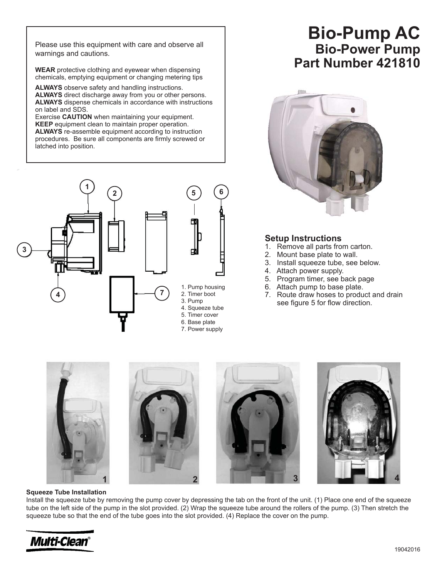warnings and cautions.

**WEAR** protective clothing and eyewear when dispensing chemicals, emptying equipment or changing metering tips

**ALWAYS** observe safety and handling instructions. **ALWAYS** direct discharge away from you or other persons. **ALWAYS** dispense chemicals in accordance with instructions on label and SDS.

Exercise **CAUTION** when maintaining your equipment. **KEEP** equipment clean to maintain proper operation. **ALWAYS** re-assemble equipment according to instruction procedures. Be sure all components are firmly screwed or latched into position.



# **Bio-Power Pump Part Number 421810 Please use this equipment with care and observe all Bio-Pump AC**



## **Setup Instructions**

- 1. Remove all parts from carton.
- 2. Mount base plate to wall.
- 3. Install squeeze tube, see below.
- 4. Attach power supply.
- 5. Program timer, see back page
- 6. Attach pump to base plate.
- 7. Route draw hoses to product and drain see figure 5 for flow direction.



#### **Squeeze Tube Installation**

Install the squeeze tube by removing the pump cover by depressing the tab on the front of the unit. (1) Place one end of the squeeze tube on the left side of the pump in the slot provided. (2) Wrap the squeeze tube around the rollers of the pump. (3) Then stretch the squeeze tube so that the end of the tube goes into the slot provided. (4) Replace the cover on the pump.